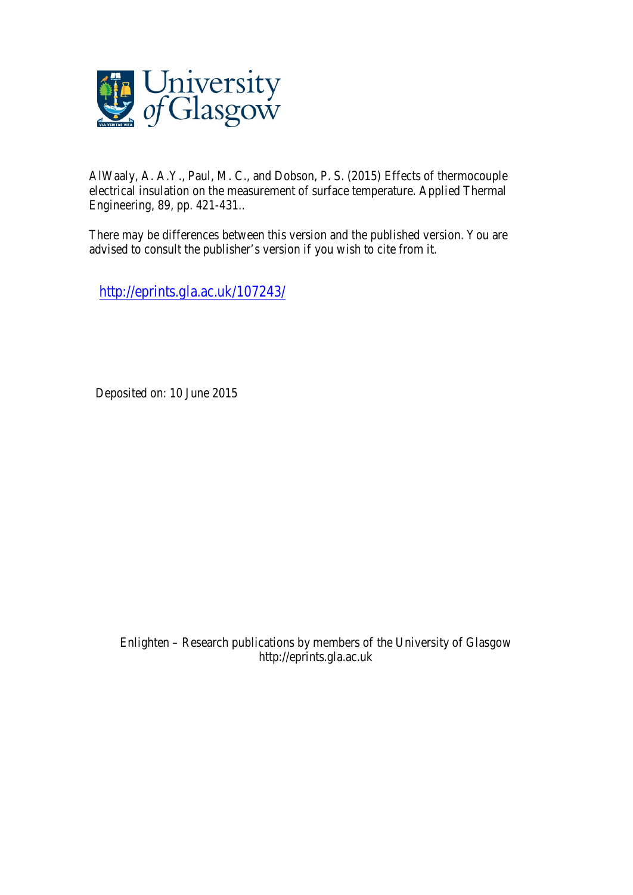

AlWaaly, A. A.Y., Paul, M. C., and Dobson, P. S. (2015) Effects of thermocouple electrical insulation on the measurement of surface temperature. Applied Thermal Engineering, 89, pp. 421-431..

There may be differences between this version and the published version. You are advised to consult the publisher's version if you wish to cite from it.

http://eprints.gla.ac.uk/107243/

Deposited on: 10 June 2015

Enlighten – Research publications by members of the University of Glasgow http://eprints.gla.ac.uk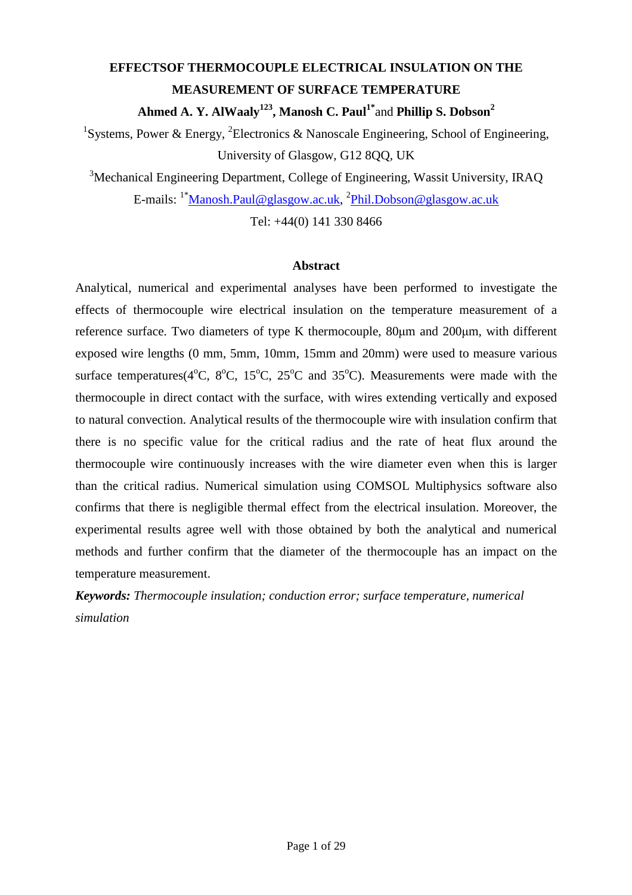# **EFFECTSOF THERMOCOUPLE ELECTRICAL INSULATION ON THE MEASUREMENT OF SURFACE TEMPERATURE Ahmed A. Y. AlWaaly<sup>123</sup>, Manosh C. Paul1\***and **Phillip S. Dobson<sup>2</sup>**

<sup>1</sup>Systems, Power & Energy, <sup>2</sup>Electronics & Nanoscale Engineering, School of Engineering, University of Glasgow, G12 8QQ, UK

<sup>3</sup>Mechanical Engineering Department, College of Engineering, Wassit University, IRAQ E-mails: <sup>1\*</sup><u>Manosh.Paul@glasgow.ac.uk, <sup>2</sup>Phil.Dobson@glasgow.ac.uk</u>

Tel: +44(0) 141 330 8466

# **Abstract**

Analytical, numerical and experimental analyses have been performed to investigate the effects of thermocouple wire electrical insulation on the temperature measurement of a reference surface. Two diameters of type K thermocouple, 80µm and 200µm, with different exposed wire lengths (0 mm, 5mm, 10mm, 15mm and 20mm) were used to measure various surface temperatures( $4^{\circ}$ C,  $8^{\circ}$ C,  $15^{\circ}$ C,  $25^{\circ}$ C and  $35^{\circ}$ C). Measurements were made with the thermocouple in direct contact with the surface, with wires extending vertically and exposed to natural convection. Analytical results of the thermocouple wire with insulation confirm that there is no specific value for the critical radius and the rate of heat flux around the thermocouple wire continuously increases with the wire diameter even when this is larger than the critical radius. Numerical simulation using COMSOL Multiphysics software also confirms that there is negligible thermal effect from the electrical insulation. Moreover, the experimental results agree well with those obtained by both the analytical and numerical methods and further confirm that the diameter of the thermocouple has an impact on the temperature measurement.

*Keywords: Thermocouple insulation; conduction error; surface temperature, numerical simulation*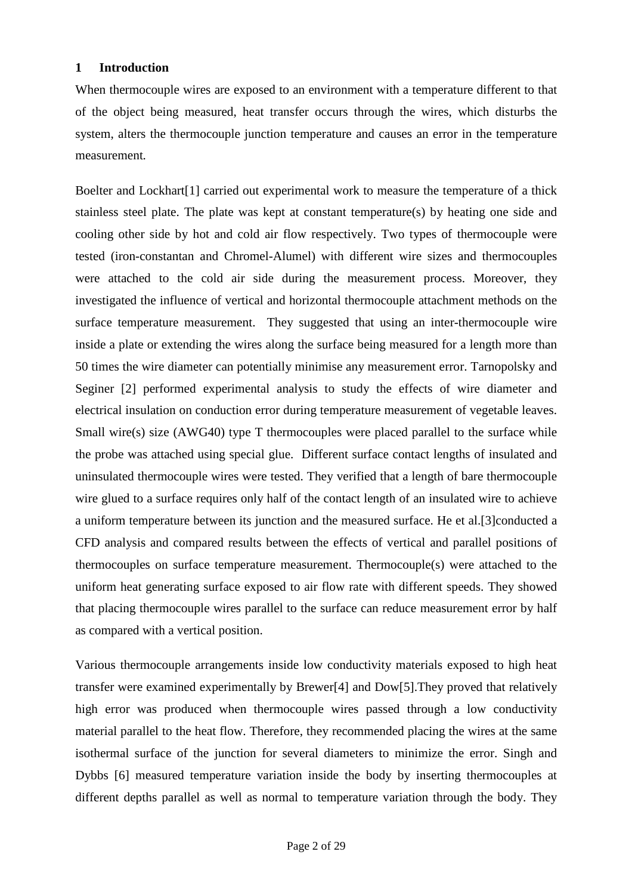# **1 Introduction**

When thermocouple wires are exposed to an environment with a temperature different to that of the object being measured, heat transfer occurs through the wires, which disturbs the system, alters the thermocouple junction temperature and causes an error in the temperature measurement*.*

Boelter and Lockhart[1] carried out experimental work to measure the temperature of a thick stainless steel plate. The plate was kept at constant temperature(s) by heating one side and cooling other side by hot and cold air flow respectively. Two types of thermocouple were tested (iron-constantan and Chromel-Alumel) with different wire sizes and thermocouples were attached to the cold air side during the measurement process. Moreover, they investigated the influence of vertical and horizontal thermocouple attachment methods on the surface temperature measurement. They suggested that using an inter-thermocouple wire inside a plate or extending the wires along the surface being measured for a length more than 50 times the wire diameter can potentially minimise any measurement error. Tarnopolsky and Seginer [2] performed experimental analysis to study the effects of wire diameter and electrical insulation on conduction error during temperature measurement of vegetable leaves. Small wire(s) size (AWG40) type T thermocouples were placed parallel to the surface while the probe was attached using special glue. Different surface contact lengths of insulated and uninsulated thermocouple wires were tested. They verified that a length of bare thermocouple wire glued to a surface requires only half of the contact length of an insulated wire to achieve a uniform temperature between its junction and the measured surface. He et al.[3]conducted a CFD analysis and compared results between the effects of vertical and parallel positions of thermocouples on surface temperature measurement. Thermocouple(s) were attached to the uniform heat generating surface exposed to air flow rate with different speeds. They showed that placing thermocouple wires parallel to the surface can reduce measurement error by half as compared with a vertical position.

Various thermocouple arrangements inside low conductivity materials exposed to high heat transfer were examined experimentally by Brewer[4] and Dow[5].They proved that relatively high error was produced when thermocouple wires passed through a low conductivity material parallel to the heat flow. Therefore, they recommended placing the wires at the same isothermal surface of the junction for several diameters to minimize the error. Singh and Dybbs [6] measured temperature variation inside the body by inserting thermocouples at different depths parallel as well as normal to temperature variation through the body. They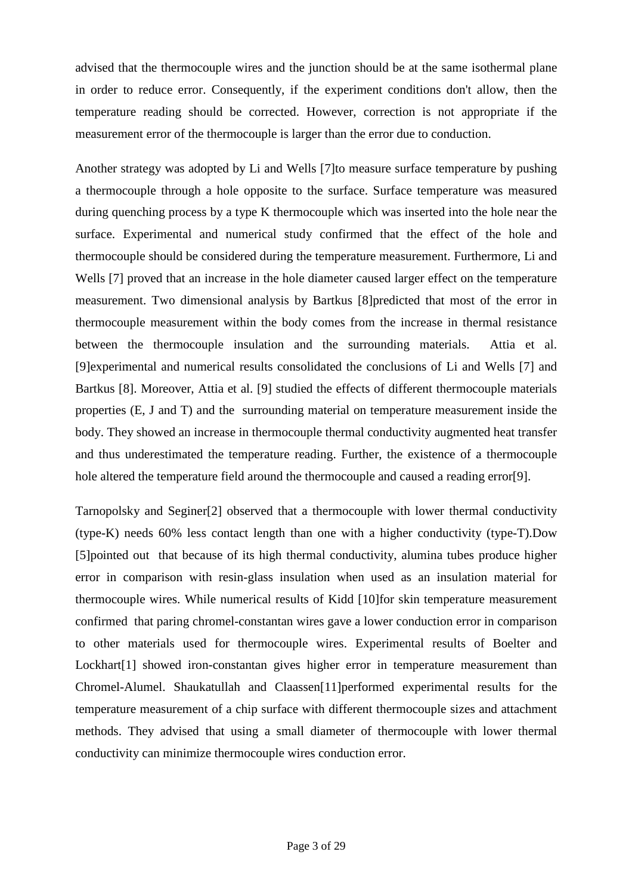advised that the thermocouple wires and the junction should be at the same isothermal plane in order to reduce error. Consequently, if the experiment conditions don't allow, then the temperature reading should be corrected. However, correction is not appropriate if the measurement error of the thermocouple is larger than the error due to conduction.

Another strategy was adopted by Li and Wells [7]to measure surface temperature by pushing a thermocouple through a hole opposite to the surface. Surface temperature was measured during quenching process by a type K thermocouple which was inserted into the hole near the surface. Experimental and numerical study confirmed that the effect of the hole and thermocouple should be considered during the temperature measurement. Furthermore, Li and Wells [7] proved that an increase in the hole diameter caused larger effect on the temperature measurement. Two dimensional analysis by Bartkus [8]predicted that most of the error in thermocouple measurement within the body comes from the increase in thermal resistance between the thermocouple insulation and the surrounding materials. Attia et al. [9]experimental and numerical results consolidated the conclusions of Li and Wells [7] and Bartkus [8]. Moreover, Attia et al. [9] studied the effects of different thermocouple materials properties (E, J and T) and the surrounding material on temperature measurement inside the body. They showed an increase in thermocouple thermal conductivity augmented heat transfer and thus underestimated the temperature reading. Further, the existence of a thermocouple hole altered the temperature field around the thermocouple and caused a reading error[9].

Tarnopolsky and Seginer[2] observed that a thermocouple with lower thermal conductivity (type-K) needs 60% less contact length than one with a higher conductivity (type-T).Dow [5]pointed out that because of its high thermal conductivity, alumina tubes produce higher error in comparison with resin-glass insulation when used as an insulation material for thermocouple wires. While numerical results of Kidd [10]for skin temperature measurement confirmed that paring chromel-constantan wires gave a lower conduction error in comparison to other materials used for thermocouple wires. Experimental results of Boelter and Lockhart<sup>[1]</sup> showed iron-constantan gives higher error in temperature measurement than Chromel-Alumel. Shaukatullah and Claassen[11]performed experimental results for the temperature measurement of a chip surface with different thermocouple sizes and attachment methods. They advised that using a small diameter of thermocouple with lower thermal conductivity can minimize thermocouple wires conduction error.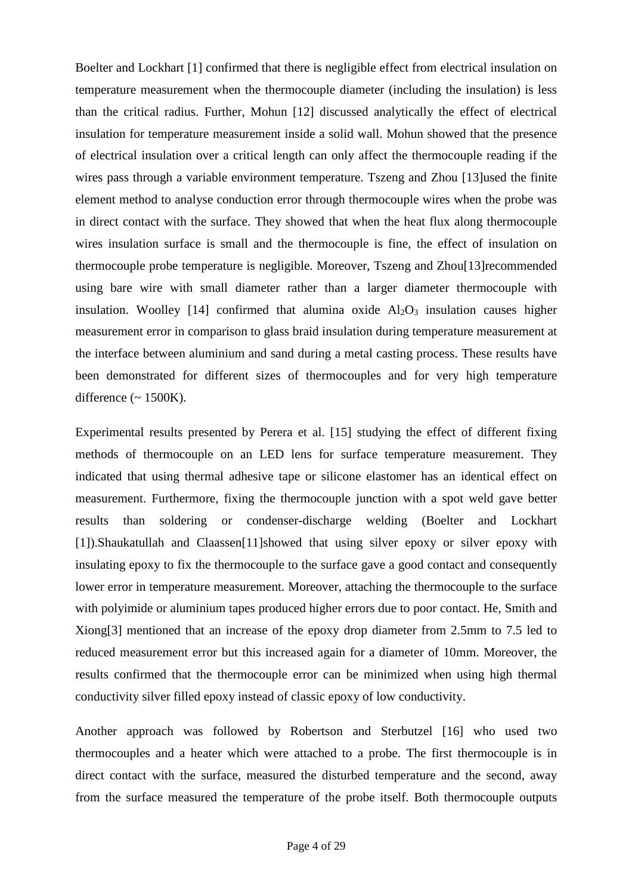Boelter and Lockhart [1] confirmed that there is negligible effect from electrical insulation on temperature measurement when the thermocouple diameter (including the insulation) is less than the critical radius. Further, Mohun [12] discussed analytically the effect of electrical insulation for temperature measurement inside a solid wall. Mohun showed that the presence of electrical insulation over a critical length can only affect the thermocouple reading if the wires pass through a variable environment temperature. Tszeng and Zhou [13]used the finite element method to analyse conduction error through thermocouple wires when the probe was in direct contact with the surface. They showed that when the heat flux along thermocouple wires insulation surface is small and the thermocouple is fine, the effect of insulation on thermocouple probe temperature is negligible. Moreover, Tszeng and Zhou[13]recommended using bare wire with small diameter rather than a larger diameter thermocouple with insulation. Woolley [14] confirmed that alumina oxide  $A_1O_3$  insulation causes higher measurement error in comparison to glass braid insulation during temperature measurement at the interface between aluminium and sand during a metal casting process. These results have been demonstrated for different sizes of thermocouples and for very high temperature difference  $({\sim 1500 \text{K}})$ .

Experimental results presented by Perera et al. [15] studying the effect of different fixing methods of thermocouple on an LED lens for surface temperature measurement. They indicated that using thermal adhesive tape or silicone elastomer has an identical effect on measurement. Furthermore, fixing the thermocouple junction with a spot weld gave better results than soldering or condenser-discharge welding (Boelter and Lockhart [1]).Shaukatullah and Claassen[11]showed that using silver epoxy or silver epoxy with insulating epoxy to fix the thermocouple to the surface gave a good contact and consequently lower error in temperature measurement. Moreover, attaching the thermocouple to the surface with polyimide or aluminium tapes produced higher errors due to poor contact. He, Smith and Xiong[3] mentioned that an increase of the epoxy drop diameter from 2.5mm to 7.5 led to reduced measurement error but this increased again for a diameter of 10mm. Moreover, the results confirmed that the thermocouple error can be minimized when using high thermal conductivity silver filled epoxy instead of classic epoxy of low conductivity.

Another approach was followed by Robertson and Sterbutzel [16] who used two thermocouples and a heater which were attached to a probe. The first thermocouple is in direct contact with the surface, measured the disturbed temperature and the second, away from the surface measured the temperature of the probe itself. Both thermocouple outputs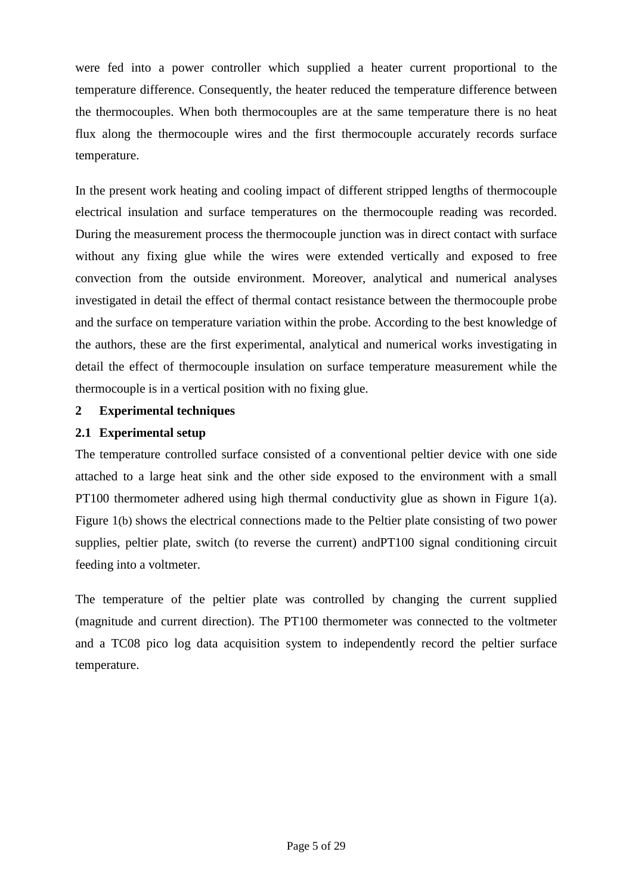were fed into a power controller which supplied a heater current proportional to the temperature difference. Consequently, the heater reduced the temperature difference between the thermocouples. When both thermocouples are at the same temperature there is no heat flux along the thermocouple wires and the first thermocouple accurately records surface temperature.

In the present work heating and cooling impact of different stripped lengths of thermocouple electrical insulation and surface temperatures on the thermocouple reading was recorded. During the measurement process the thermocouple junction was in direct contact with surface without any fixing glue while the wires were extended vertically and exposed to free convection from the outside environment. Moreover, analytical and numerical analyses investigated in detail the effect of thermal contact resistance between the thermocouple probe and the surface on temperature variation within the probe. According to the best knowledge of the authors, these are the first experimental, analytical and numerical works investigating in detail the effect of thermocouple insulation on surface temperature measurement while the thermocouple is in a vertical position with no fixing glue.

# **2 Experimental techniques**

# **2.1 Experimental setup**

The temperature controlled surface consisted of a conventional peltier device with one side attached to a large heat sink and the other side exposed to the environment with a small PT100 thermometer adhered using high thermal conductivity glue as shown in Figure 1(a). Figure 1(b) shows the electrical connections made to the Peltier plate consisting of two power supplies, peltier plate, switch (to reverse the current) andPT100 signal conditioning circuit feeding into a voltmeter.

The temperature of the peltier plate was controlled by changing the current supplied (magnitude and current direction). The PT100 thermometer was connected to the voltmeter and a TC08 pico log data acquisition system to independently record the peltier surface temperature.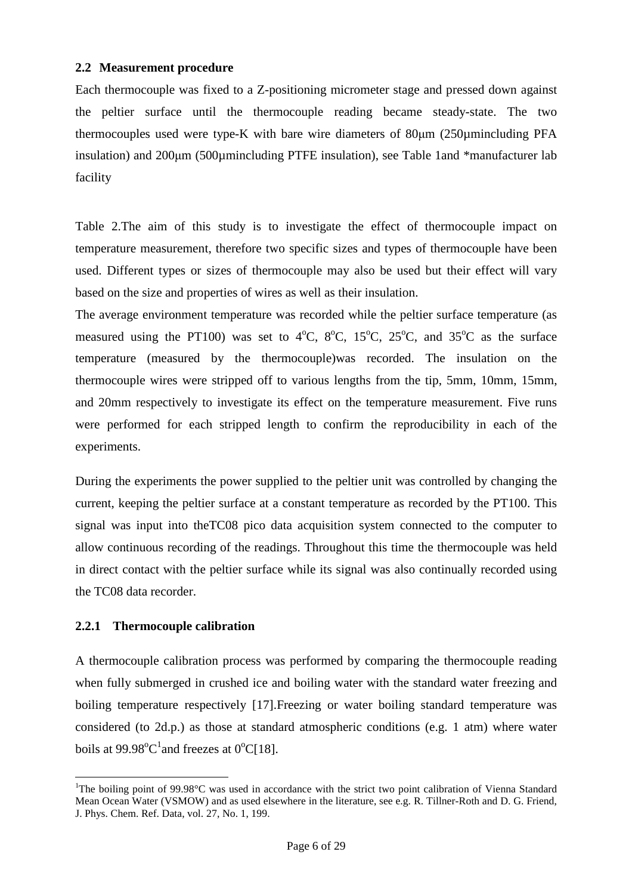# **2.2 Measurement procedure**

Each thermocouple was fixed to a Z-positioning micrometer stage and pressed down against the peltier surface until the thermocouple reading became steady-state. The two thermocouples used were type-K with bare wire diameters of 80µm (250µmincluding PFA insulation) and 200µm (500µmincluding PTFE insulation), see Table 1and \*manufacturer lab facility

Table 2.The aim of this study is to investigate the effect of thermocouple impact on temperature measurement, therefore two specific sizes and types of thermocouple have been used. Different types or sizes of thermocouple may also be used but their effect will vary based on the size and properties of wires as well as their insulation.

The average environment temperature was recorded while the peltier surface temperature (as measured using the PT100) was set to  $4^{\circ}$ C,  $8^{\circ}$ C,  $15^{\circ}$ C,  $25^{\circ}$ C, and  $35^{\circ}$ C as the surface temperature (measured by the thermocouple)was recorded. The insulation on the thermocouple wires were stripped off to various lengths from the tip, 5mm, 10mm, 15mm, and 20mm respectively to investigate its effect on the temperature measurement. Five runs were performed for each stripped length to confirm the reproducibility in each of the experiments.

During the experiments the power supplied to the peltier unit was controlled by changing the current, keeping the peltier surface at a constant temperature as recorded by the PT100. This signal was input into theTC08 pico data acquisition system connected to the computer to allow continuous recording of the readings. Throughout this time the thermocouple was held in direct contact with the peltier surface while its signal was also continually recorded using the TC08 data recorder.

# **2.2.1 Thermocouple calibration**

A thermocouple calibration process was performed by comparing the thermocouple reading when fully submerged in crushed ice and boiling water with the standard water freezing and boiling temperature respectively [17]. Freezing or water boiling standard temperature was considered (to 2d.p.) as those at standard atmospheric conditions (e.g. 1 atm) where water boils at  $99.98^{\circ}C^{1}$  and freezes at  $0^{\circ}C[18]$ .

 $\overline{a}$ <sup>1</sup>The boiling point of 99.98°C was used in accordance with the strict two point calibration of Vienna Standard Mean Ocean Water (VSMOW) and as used elsewhere in the literature, see e.g. R. Tillner-Roth and D. G. Friend, J. Phys. Chem. Ref. Data, vol. 27, No. 1, 199.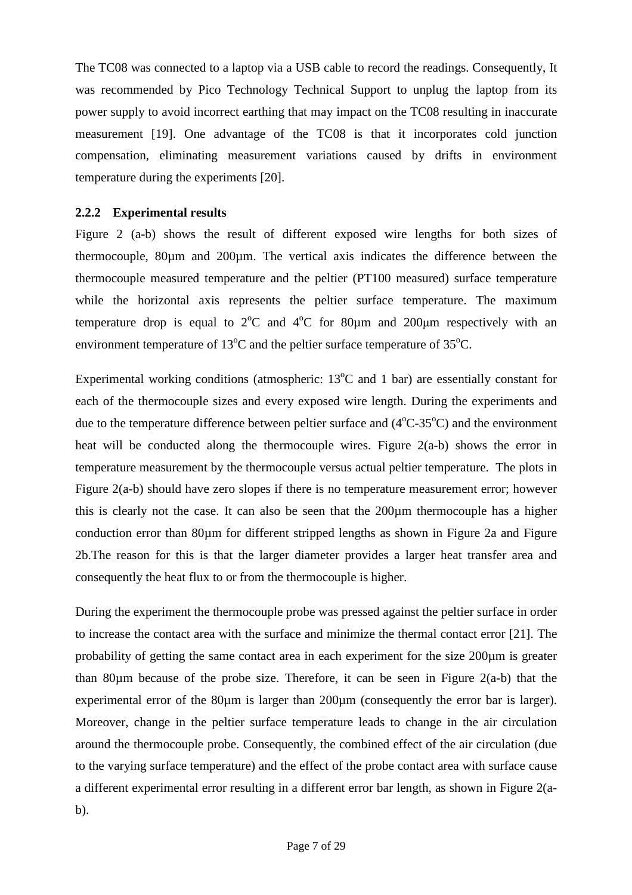The TC08 was connected to a laptop via a USB cable to record the readings. Consequently, It was recommended by Pico Technology Technical Support to unplug the laptop from its power supply to avoid incorrect earthing that may impact on the TC08 resulting in inaccurate measurement [19]. One advantage of the TC08 is that it incorporates cold junction compensation, eliminating measurement variations caused by drifts in environment temperature during the experiments [20].

# **2.2.2 Experimental results**

Figure 2 (a-b) shows the result of different exposed wire lengths for both sizes of thermocouple, 80µm and 200µm. The vertical axis indicates the difference between the thermocouple measured temperature and the peltier (PT100 measured) surface temperature while the horizontal axis represents the peltier surface temperature. The maximum temperature drop is equal to  $2^{\circ}C$  and  $4^{\circ}C$  for 80 $\mu$ m and 200 $\mu$ m respectively with an environment temperature of  $13^{\circ}$ C and the peltier surface temperature of  $35^{\circ}$ C.

Experimental working conditions (atmospheric:  $13^{\circ}$ C and 1 bar) are essentially constant for each of the thermocouple sizes and every exposed wire length. During the experiments and due to the temperature difference between peltier surface and  $(4^{\circ}C - 35^{\circ}C)$  and the environment heat will be conducted along the thermocouple wires. Figure 2(a-b) shows the error in temperature measurement by the thermocouple versus actual peltier temperature. The plots in Figure 2(a-b) should have zero slopes if there is no temperature measurement error; however this is clearly not the case. It can also be seen that the 200µm thermocouple has a higher conduction error than 80µm for different stripped lengths as shown in Figure 2a and Figure 2b.The reason for this is that the larger diameter provides a larger heat transfer area and consequently the heat flux to or from the thermocouple is higher.

During the experiment the thermocouple probe was pressed against the peltier surface in order to increase the contact area with the surface and minimize the thermal contact error [21]. The probability of getting the same contact area in each experiment for the size 200µm is greater than 80µm because of the probe size. Therefore, it can be seen in Figure 2(a-b) that the experimental error of the 80 $\mu$ m is larger than 200 $\mu$ m (consequently the error bar is larger). Moreover, change in the peltier surface temperature leads to change in the air circulation around the thermocouple probe. Consequently, the combined effect of the air circulation (due to the varying surface temperature) and the effect of the probe contact area with surface cause a different experimental error resulting in a different error bar length, as shown in Figure 2(ab).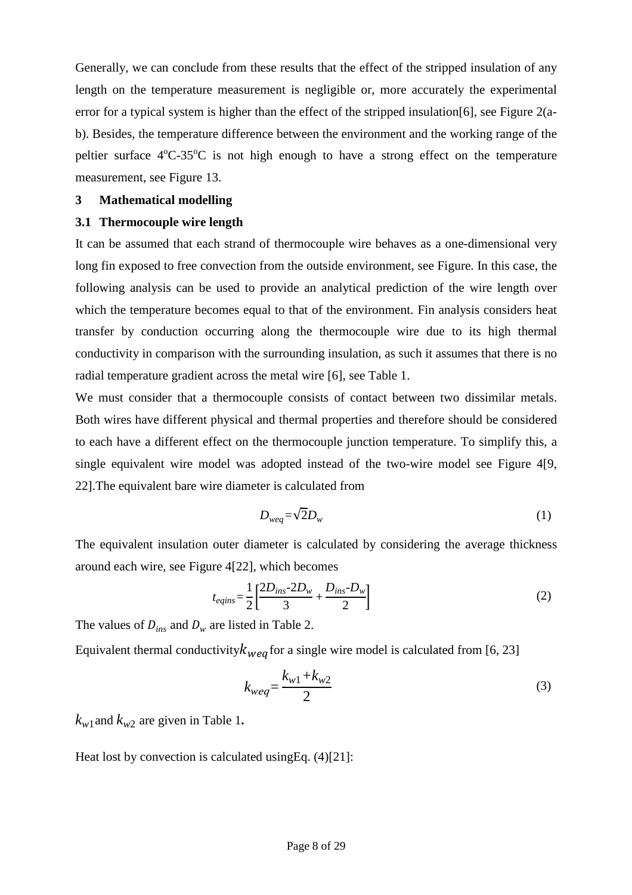Generally, we can conclude from these results that the effect of the stripped insulation of any length on the temperature measurement is negligible or, more accurately the experimental error for a typical system is higher than the effect of the stripped insulation[6], see Figure 2(ab). Besides, the temperature difference between the environment and the working range of the peltier surface  $4^{\circ}$ C-35 $^{\circ}$ C is not high enough to have a strong effect on the temperature measurement, see Figure 13.

# **3 Mathematical modelling**

#### **3.1 Thermocouple wire length**

It can be assumed that each strand of thermocouple wire behaves as a one-dimensional very long fin exposed to free convection from the outside environment, see Figure. In this case, the following analysis can be used to provide an analytical prediction of the wire length over which the temperature becomes equal to that of the environment. Fin analysis considers heat transfer by conduction occurring along the thermocouple wire due to its high thermal conductivity in comparison with the surrounding insulation, as such it assumes that there is no radial temperature gradient across the metal wire [6], see Table 1.

We must consider that a thermocouple consists of contact between two dissimilar metals. Both wires have different physical and thermal properties and therefore should be considered to each have a different effect on the thermocouple junction temperature. To simplify this, a single equivalent wire model was adopted instead of the two-wire model see Figure 4[9, 22].The equivalent bare wire diameter is calculated from

$$
D_{weq} = \sqrt{2}D_w \tag{1}
$$

The equivalent insulation outer diameter is calculated by considering the average thickness around each wire, see Figure 4[22], which becomes

$$
t_{eqins} = \frac{1}{2} \left[ \frac{2D_{ins} - 2D_w}{3} + \frac{D_{ins} - D_w}{2} \right]
$$
 (2)

The values of  $D_{ins}$  and  $D_w$  are listed in Table 2.

Equivalent thermal conductivity  $k_{\text{weak}}$  for a single wire model is calculated from [6, 23]

$$
k_{weq} = \frac{k_{w1} + k_{w2}}{2}
$$
 (3)

 $k_{w1}$  and  $k_{w2}$  are given in Table 1.

Heat lost by convection is calculated using Eq.  $(4)[21]$ :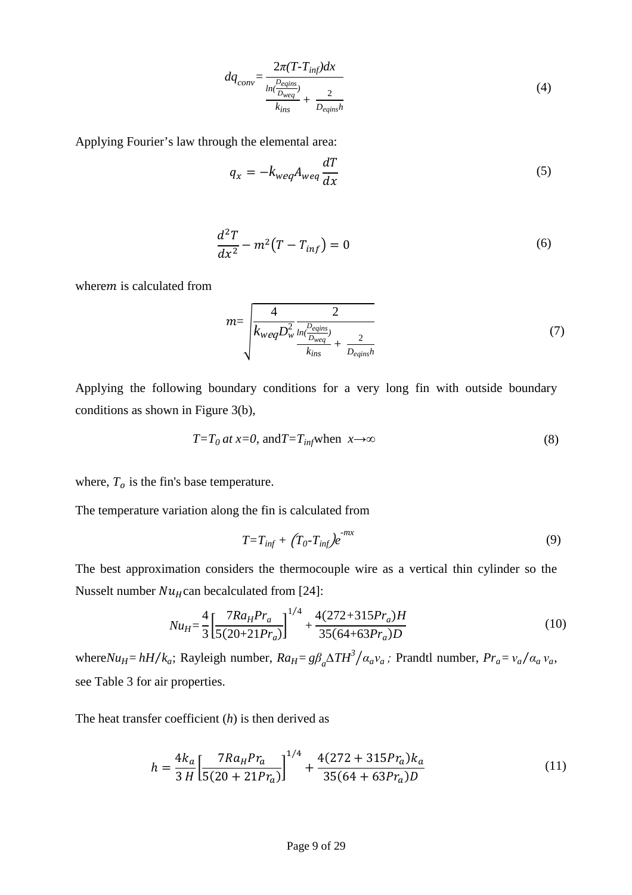$$
dq_{conv} = \frac{2\pi (T - T_{inf})dx}{\frac{ln(\frac{D_{eqins}}{D_{weg}})}{k_{ins}} + \frac{2}{D_{eqins}h}}
$$
(4)

Applying Fourier's law through the elemental area:

$$
q_x = -k_{weq} A_{weq} \frac{dT}{dx} \tag{5}
$$

$$
\frac{d^2T}{dx^2} - m^2(T - T_{inf}) = 0
$$
 (6)

where  $m$  is calculated from

$$
m = \sqrt{\frac{4}{k_{weq}D_w^2} \frac{2}{\frac{ln(\frac{D_{eqins}}{D_{weq}})}{k_{ins}} + \frac{2}{D_{eqins}h}}}
$$
(7)

Applying the following boundary conditions for a very long fin with outside boundary conditions as shown in Figure 3(b),

$$
T = T_0 \, at \, x = 0, \, \text{and} \, T = T_{\text{inf}} \text{when} \, x \to \infty \tag{8}
$$

where,  $T<sub>o</sub>$  is the fin's base temperature.

The temperature variation along the fin is calculated from

$$
T = T_{inf} + (T_0 - T_{inf})e^{-mx}
$$
\n(9)

The best approximation considers the thermocouple wire as a vertical thin cylinder so the Nusselt number  $Nu_H$ can becalculated from [24]:

$$
Nu_{H} = \frac{4}{3} \left[ \frac{7Ra_{H}Pr_{a}}{5(20+21Pr_{a})} \right]^{1/4} + \frac{4(272+315Pr_{a})H}{35(64+63Pr_{a})D}
$$
(10)

where  $Nu_H = hH/k_a$ ; Rayleigh number,  $Ra_H = g\beta_a\Delta TH^3/a_a v_a$ ; Prandtl number,  $Pr_a = v_a/a_a v_a$ , see Table 3 for air properties.

The heat transfer coefficient (*h*) is then derived as

$$
h = \frac{4k_a}{3 H} \left[ \frac{7R a_H P r_a}{5(20 + 21 P r_a)} \right]^{1/4} + \frac{4(272 + 315 P r_a) k_a}{35(64 + 63 P r_a) D}
$$
(11)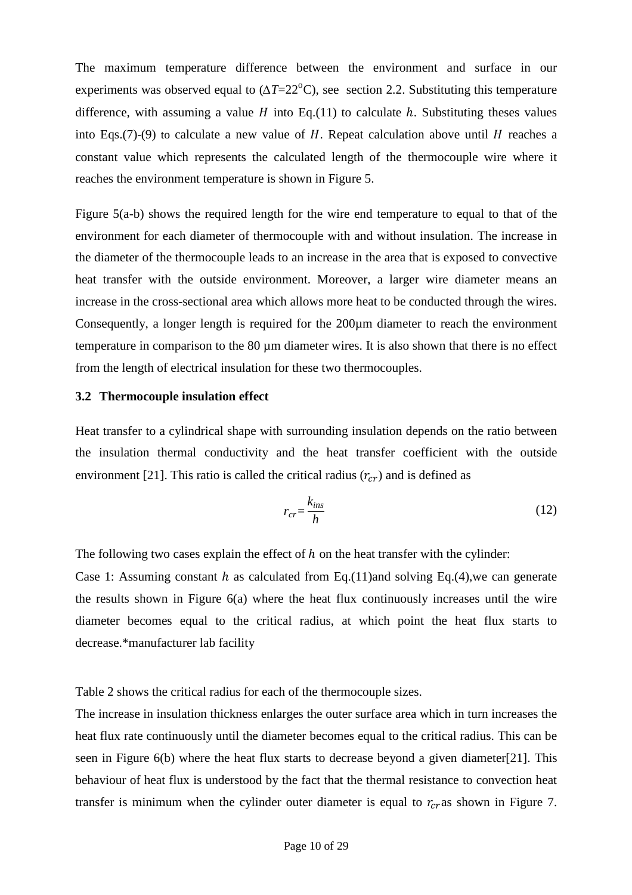The maximum temperature difference between the environment and surface in our experiments was observed equal to  $(\Delta T = 22^{\circ}C)$ , see section 2.2. Substituting this temperature difference, with assuming a value  $H$  into Eq.(11) to calculate  $h$ . Substituting theses values into Eqs.(7)-(9) to calculate a new value of H. Repeat calculation above until H reaches a constant value which represents the calculated length of the thermocouple wire where it reaches the environment temperature is shown in Figure 5.

Figure 5(a-b) shows the required length for the wire end temperature to equal to that of the environment for each diameter of thermocouple with and without insulation. The increase in the diameter of the thermocouple leads to an increase in the area that is exposed to convective heat transfer with the outside environment. Moreover, a larger wire diameter means an increase in the cross-sectional area which allows more heat to be conducted through the wires. Consequently, a longer length is required for the 200µm diameter to reach the environment temperature in comparison to the 80 µm diameter wires. It is also shown that there is no effect from the length of electrical insulation for these two thermocouples.

#### **3.2 Thermocouple insulation effect**

Heat transfer to a cylindrical shape with surrounding insulation depends on the ratio between the insulation thermal conductivity and the heat transfer coefficient with the outside environment [21]. This ratio is called the critical radius  $(r_{cr})$  and is defined as

$$
r_{cr} = \frac{k_{ins}}{h} \tag{12}
$$

The following two cases explain the effect of  $h$  on the heat transfer with the cylinder:

Case 1: Assuming constant h as calculated from Eq.(11)and solving Eq.(4), we can generate the results shown in Figure 6(a) where the heat flux continuously increases until the wire diameter becomes equal to the critical radius, at which point the heat flux starts to decrease.\*manufacturer lab facility

Table 2 shows the critical radius for each of the thermocouple sizes.

The increase in insulation thickness enlarges the outer surface area which in turn increases the heat flux rate continuously until the diameter becomes equal to the critical radius. This can be seen in Figure 6(b) where the heat flux starts to decrease beyond a given diameter[21]. This behaviour of heat flux is understood by the fact that the thermal resistance to convection heat transfer is minimum when the cylinder outer diameter is equal to  $r_{cr}$  as shown in Figure 7.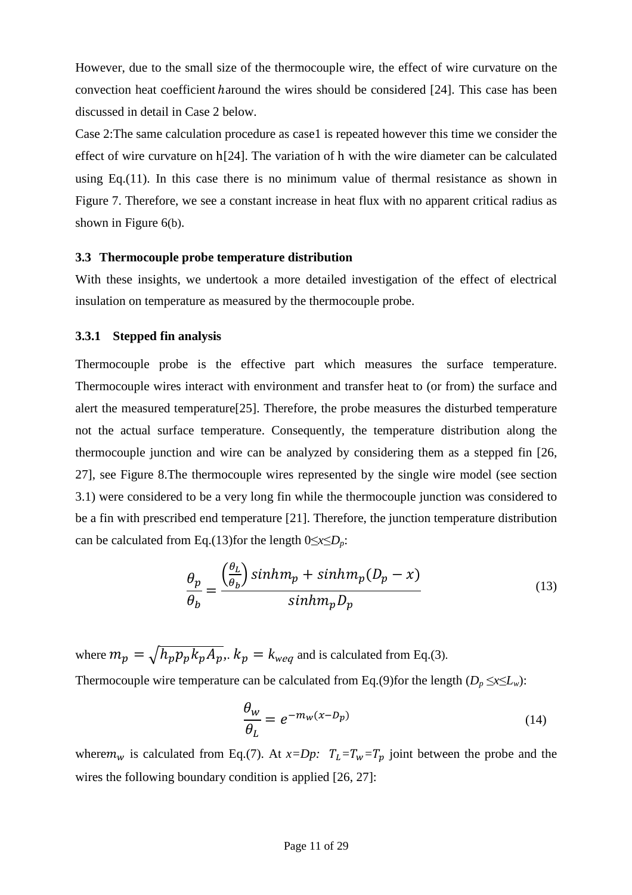However, due to the small size of the thermocouple wire, the effect of wire curvature on the convection heat coefficient *haround* the wires should be considered [24]. This case has been discussed in detail in Case 2 below.

Case 2:The same calculation procedure as case1 is repeated however this time we consider the effect of wire curvature on h[24]. The variation of h with the wire diameter can be calculated using Eq. $(11)$ . In this case there is no minimum value of thermal resistance as shown in Figure 7. Therefore, we see a constant increase in heat flux with no apparent critical radius as shown in Figure 6(b).

# **3.3 Thermocouple probe temperature distribution**

With these insights, we undertook a more detailed investigation of the effect of electrical insulation on temperature as measured by the thermocouple probe.

# **3.3.1 Stepped fin analysis**

Thermocouple probe is the effective part which measures the surface temperature. Thermocouple wires interact with environment and transfer heat to (or from) the surface and alert the measured temperature[25]. Therefore, the probe measures the disturbed temperature not the actual surface temperature. Consequently, the temperature distribution along the thermocouple junction and wire can be analyzed by considering them as a stepped fin [26, 27], see Figure 8.The thermocouple wires represented by the single wire model (see section 3.1) were considered to be a very long fin while the thermocouple junction was considered to be a fin with prescribed end temperature [21]. Therefore, the junction temperature distribution can be calculated from Eq.(13)for the length 0≤*x*≤*Dp*:

$$
\frac{\theta_p}{\theta_b} = \frac{\left(\frac{\theta_L}{\theta_b}\right) \sinh m_p + \sinh m_p (D_p - x)}{\sinh m_p D_p} \tag{13}
$$

where  $m_p = \sqrt{h_p p_p k_p A_p}$ .  $k_p = k_{weq}$  and is calculated from Eq.(3). Thermocouple wire temperature can be calculated from Eq.(9)for the length ( $D_p \le x \le L_w$ ):

$$
\frac{\theta_w}{\theta_L} = e^{-m_w(x - D_p)}\tag{14}
$$

where  $m_w$  is calculated from Eq.(7). At  $x=Dp$ :  $T_L=T_w=T_p$  joint between the probe and the wires the following boundary condition is applied [26, 27]: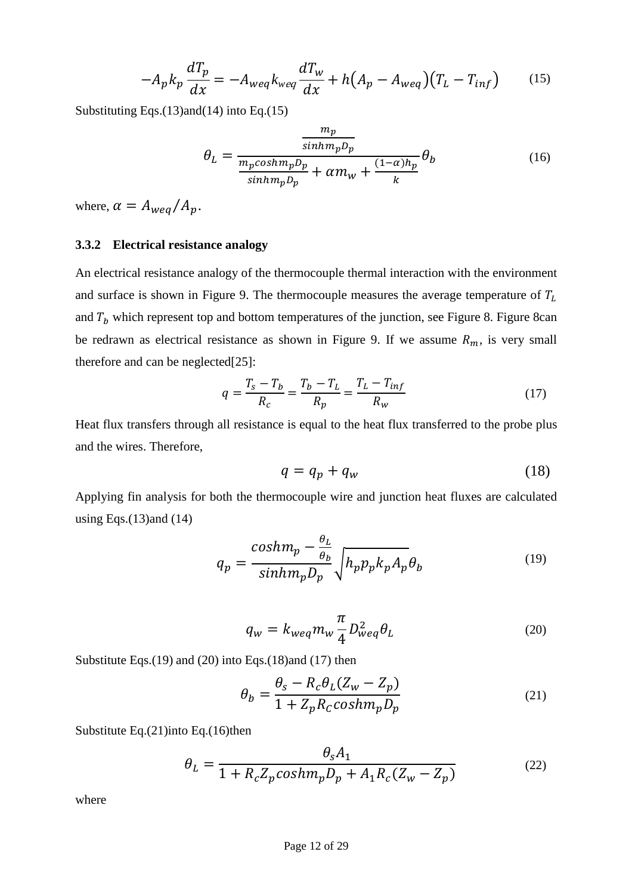$$
-A_p k_p \frac{dT_p}{dx} = -A_{weq} k_{weq} \frac{dT_w}{dx} + h(A_p - A_{weq})(T_L - T_{inf}) \tag{15}
$$

Substituting Eqs.(13)and(14) into Eq.(15)

$$
\theta_L = \frac{\frac{m_p}{\sinh m_p D_p}}{\frac{m_p \cosh m_p D_p}{\sinh m_p D_p} + \alpha m_w + \frac{(1 - \alpha) h_p}{k}} \theta_b \tag{16}
$$

where,  $\alpha = A_{weq}/A_p$ .

#### **3.3.2 Electrical resistance analogy**

An electrical resistance analogy of the thermocouple thermal interaction with the environment and surface is shown in Figure 9. The thermocouple measures the average temperature of  $T_L$ and  $T_b$  which represent top and bottom temperatures of the junction, see Figure 8. Figure 8can be redrawn as electrical resistance as shown in Figure 9. If we assume  $R_m$ , is very small therefore and can be neglected[25]:

$$
q = \frac{T_s - T_b}{R_c} = \frac{T_b - T_L}{R_p} = \frac{T_L - T_{inf}}{R_w}
$$
\n(17)

Heat flux transfers through all resistance is equal to the heat flux transferred to the probe plus and the wires. Therefore,

$$
q = q_p + q_w \tag{18}
$$

Applying fin analysis for both the thermocouple wire and junction heat fluxes are calculated using Eqs. $(13)$ and  $(14)$ 

$$
q_p = \frac{cosh m_p - \frac{\theta_L}{\theta_b}}{sinhm_p D_p} \sqrt{h_p p_p k_p A_p} \theta_b
$$
 (19)

$$
q_w = k_{weq} m_w \frac{\pi}{4} D_{weq}^2 \theta_L \tag{20}
$$

Substitute Eqs.(19) and (20) into Eqs.(18)and (17) then

$$
\theta_b = \frac{\theta_s - R_c \theta_L (Z_w - Z_p)}{1 + Z_p R_c \cosh m_p D_p}
$$
\n(21)

Substitute Eq.(21)into Eq.(16)then

$$
\theta_L = \frac{\theta_s A_1}{1 + R_c Z_p \cosh m_p D_p + A_1 R_c (Z_w - Z_p)}
$$
(22)

where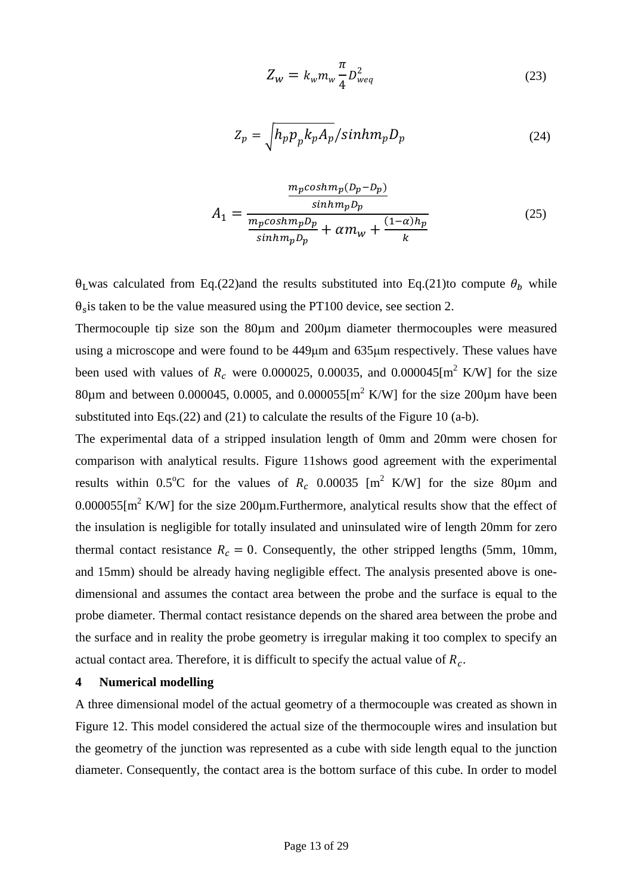$$
Z_w = k_w m_w \frac{\pi}{4} D_{weq}^2 \tag{23}
$$

$$
Z_p = \sqrt{h_p p_p k_p A_p} / \sinh m_p D_p \tag{24}
$$

$$
A_1 = \frac{\frac{m_p \cosh m_p (D_p - D_p)}{\sinh m_p D_p}}{\frac{m_p \cosh m_p D_p}{\sinh m_p D_p} + \alpha m_w + \frac{(1 - \alpha) h_p}{k}}
$$
(25)

 $\theta_L$ was calculated from Eq.(22)and the results substituted into Eq.(21)to compute  $\theta_h$  while  $\theta_s$  is taken to be the value measured using the PT100 device, see section 2.

Thermocouple tip size son the 80µm and 200µm diameter thermocouples were measured using a microscope and were found to be 449µm and 635µm respectively. These values have been used with values of  $R_c$  were 0.000025, 0.00035, and 0.000045[m<sup>2</sup> K/W] for the size 80 $\mu$ m and between 0.000045, 0.0005, and 0.000055[m<sup>2</sup> K/W] for the size 200 $\mu$ m have been substituted into Eqs.(22) and (21) to calculate the results of the Figure 10 (a-b).

The experimental data of a stripped insulation length of 0mm and 20mm were chosen for comparison with analytical results. Figure 11shows good agreement with the experimental results within 0.5°C for the values of  $R_c$  0.00035 [m<sup>2</sup> K/W] for the size 80 $\mu$ m and 0.000055[ $m^2$  K/W] for the size 200 $\mu$ m. Furthermore, analytical results show that the effect of the insulation is negligible for totally insulated and uninsulated wire of length 20mm for zero thermal contact resistance  $R_c = 0$ . Consequently, the other stripped lengths (5mm, 10mm, and 15mm) should be already having negligible effect. The analysis presented above is onedimensional and assumes the contact area between the probe and the surface is equal to the probe diameter. Thermal contact resistance depends on the shared area between the probe and the surface and in reality the probe geometry is irregular making it too complex to specify an actual contact area. Therefore, it is difficult to specify the actual value of  $R_c$ .

# **4 Numerical modelling**

A three dimensional model of the actual geometry of a thermocouple was created as shown in Figure 12. This model considered the actual size of the thermocouple wires and insulation but the geometry of the junction was represented as a cube with side length equal to the junction diameter. Consequently, the contact area is the bottom surface of this cube. In order to model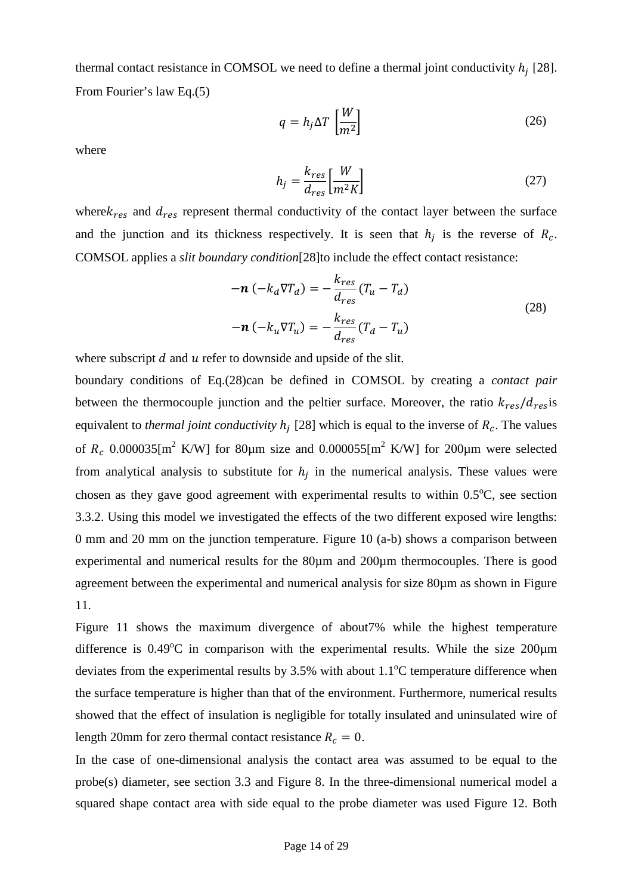thermal contact resistance in COMSOL we need to define a thermal joint conductivity  $h_j$  [28]. From Fourier's law Eq.(5)

$$
q = h_j \Delta T \left[ \frac{W}{m^2} \right] \tag{26}
$$

where

$$
h_j = \frac{k_{res}}{d_{res}} \left[ \frac{W}{m^2 K} \right] \tag{27}
$$

where $k_{res}$  and  $d_{res}$  represent thermal conductivity of the contact layer between the surface and the junction and its thickness respectively. It is seen that  $h_j$  is the reverse of  $R_c$ . COMSOL applies a *slit boundary condition*[28]to include the effect contact resistance:

$$
-\boldsymbol{n} \left( -k_d \nabla T_d \right) = -\frac{k_{res}}{d_{res}} (T_u - T_d)
$$
  

$$
-\boldsymbol{n} \left( -k_u \nabla T_u \right) = -\frac{k_{res}}{d_{res}} (T_d - T_u)
$$
 (28)

where subscript  $d$  and  $u$  refer to downside and upside of the slit.

boundary conditions of Eq.(28)can be defined in COMSOL by creating a *contact pair* between the thermocouple junction and the peltier surface. Moreover, the ratio  $k_{res}/d_{res}$  is equivalent to *thermal joint conductivity*  $h_j$  [28] which is equal to the inverse of  $R_c$ . The values of  $R_c$  0.000035[m<sup>2</sup> K/W] for 80 $\mu$ m size and 0.000055[m<sup>2</sup> K/W] for 200 $\mu$ m were selected from analytical analysis to substitute for  $h_j$  in the numerical analysis. These values were chosen as they gave good agreement with experimental results to within  $0.5^{\circ}$ C, see section 3.3.2. Using this model we investigated the effects of the two different exposed wire lengths: 0 mm and 20 mm on the junction temperature. Figure 10 (a-b) shows a comparison between experimental and numerical results for the 80µm and 200µm thermocouples. There is good agreement between the experimental and numerical analysis for size 80µm as shown in Figure 11.

Figure 11 shows the maximum divergence of about7% while the highest temperature difference is  $0.49^{\circ}$ C in comparison with the experimental results. While the size  $200 \mu m$ deviates from the experimental results by  $3.5\%$  with about  $1.1\degree$ C temperature difference when the surface temperature is higher than that of the environment. Furthermore, numerical results showed that the effect of insulation is negligible for totally insulated and uninsulated wire of length 20mm for zero thermal contact resistance  $R_c = 0$ .

In the case of one-dimensional analysis the contact area was assumed to be equal to the probe(s) diameter, see section 3.3 and Figure 8. In the three-dimensional numerical model a squared shape contact area with side equal to the probe diameter was used Figure 12. Both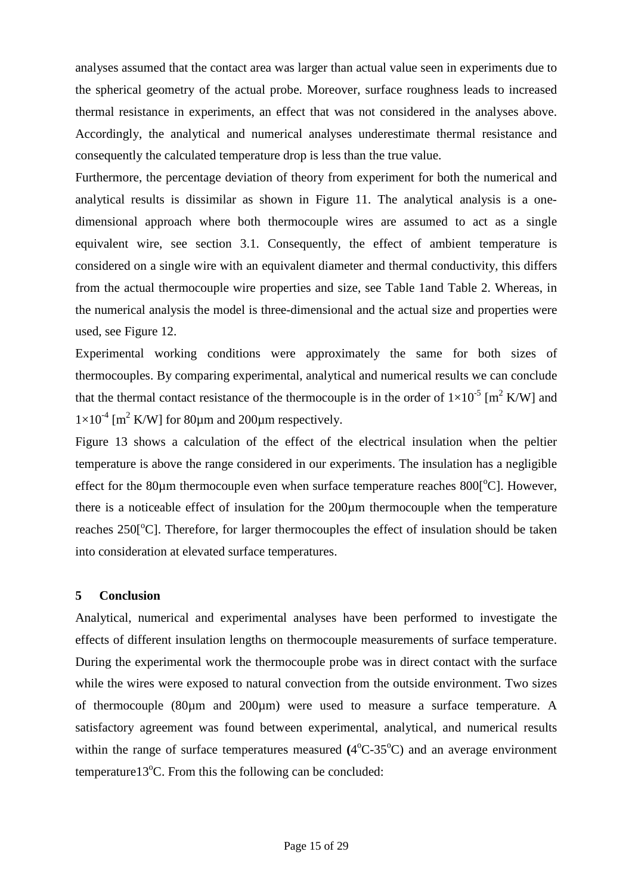analyses assumed that the contact area was larger than actual value seen in experiments due to the spherical geometry of the actual probe. Moreover, surface roughness leads to increased thermal resistance in experiments, an effect that was not considered in the analyses above. Accordingly, the analytical and numerical analyses underestimate thermal resistance and consequently the calculated temperature drop is less than the true value.

Furthermore, the percentage deviation of theory from experiment for both the numerical and analytical results is dissimilar as shown in Figure 11. The analytical analysis is a onedimensional approach where both thermocouple wires are assumed to act as a single equivalent wire, see section 3.1. Consequently, the effect of ambient temperature is considered on a single wire with an equivalent diameter and thermal conductivity, this differs from the actual thermocouple wire properties and size, see Table 1and Table 2. Whereas, in the numerical analysis the model is three-dimensional and the actual size and properties were used, see Figure 12.

Experimental working conditions were approximately the same for both sizes of thermocouples. By comparing experimental, analytical and numerical results we can conclude that the thermal contact resistance of the thermocouple is in the order of  $1\times10^{-5}$  [m<sup>2</sup> K/W] and  $1 \times 10^{-4}$  [m<sup>2</sup> K/W] for 80 $\mu$ m and 200 $\mu$ m respectively.

Figure 13 shows a calculation of the effect of the electrical insulation when the peltier temperature is above the range considered in our experiments. The insulation has a negligible effect for the 80 $\mu$ m thermocouple even when surface temperature reaches 800 $\Gamma$ °C $\Gamma$ . However, there is a noticeable effect of insulation for the 200µm thermocouple when the temperature reaches  $250^\circ$ C. Therefore, for larger thermocouples the effect of insulation should be taken into consideration at elevated surface temperatures.

# **5 Conclusion**

Analytical, numerical and experimental analyses have been performed to investigate the effects of different insulation lengths on thermocouple measurements of surface temperature. During the experimental work the thermocouple probe was in direct contact with the surface while the wires were exposed to natural convection from the outside environment. Two sizes of thermocouple (80µm and 200µm) were used to measure a surface temperature. A satisfactory agreement was found between experimental, analytical, and numerical results within the range of surface temperatures measured  $(4^{\circ}C \cdot 35^{\circ}C)$  and an average environment temperature13 $^{\circ}$ C. From this the following can be concluded: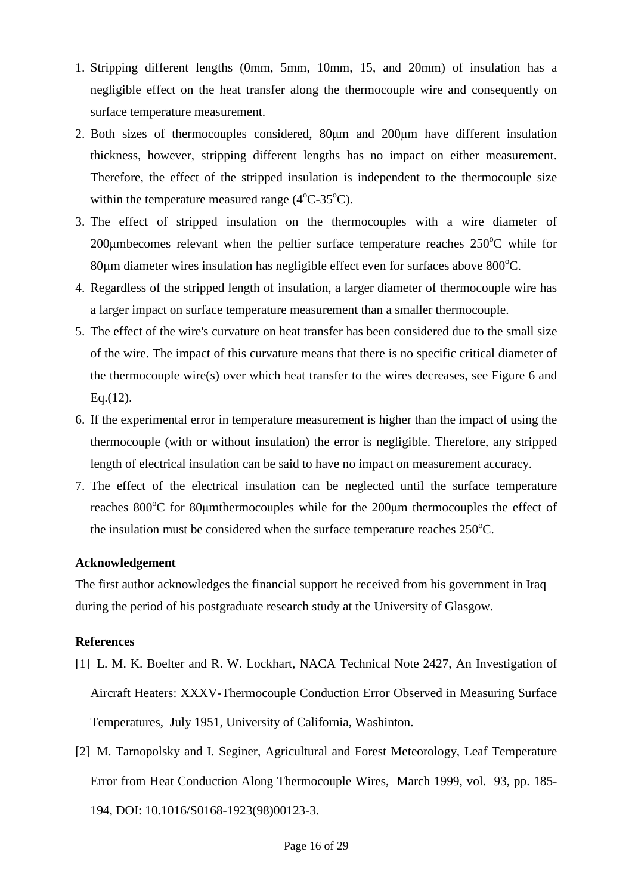- 1. Stripping different lengths (0mm, 5mm, 10mm, 15, and 20mm) of insulation has a negligible effect on the heat transfer along the thermocouple wire and consequently on surface temperature measurement.
- 2. Both sizes of thermocouples considered, 80µm and 200µm have different insulation thickness, however, stripping different lengths has no impact on either measurement. Therefore, the effect of the stripped insulation is independent to the thermocouple size within the temperature measured range  $(4^{\circ}C - 35^{\circ}C)$ .
- 3. The effect of stripped insulation on the thermocouples with a wire diameter of 200 $\mu$ mbecomes relevant when the peltier surface temperature reaches 250 $\degree$ C while for  $80\mu$ m diameter wires insulation has negligible effect even for surfaces above  $800^{\circ}$ C.
- 4. Regardless of the stripped length of insulation, a larger diameter of thermocouple wire has a larger impact on surface temperature measurement than a smaller thermocouple.
- 5. The effect of the wire's curvature on heat transfer has been considered due to the small size of the wire. The impact of this curvature means that there is no specific critical diameter of the thermocouple wire(s) over which heat transfer to the wires decreases, see Figure 6 and Eq.(12).
- 6. If the experimental error in temperature measurement is higher than the impact of using the thermocouple (with or without insulation) the error is negligible. Therefore, any stripped length of electrical insulation can be said to have no impact on measurement accuracy.
- 7. The effect of the electrical insulation can be neglected until the surface temperature reaches  $800^{\circ}$ C for  $80\mu$ mthermocouples while for the  $200\mu$ m thermocouples the effect of the insulation must be considered when the surface temperature reaches  $250^{\circ}$ C.

# **Acknowledgement**

The first author acknowledges the financial support he received from his government in Iraq during the period of his postgraduate research study at the University of Glasgow.

# **References**

- [1] L. M. K. Boelter and R. W. Lockhart, NACA Technical Note 2427, An Investigation of Aircraft Heaters: XXXV-Thermocouple Conduction Error Observed in Measuring Surface Temperatures, July 1951, University of California, Washinton.
- [2] M. Tarnopolsky and I. Seginer, Agricultural and Forest Meteorology, Leaf Temperature Error from Heat Conduction Along Thermocouple Wires, March 1999, vol. 93, pp. 185- 194, DOI: 10.1016/S0168-1923(98)00123-3.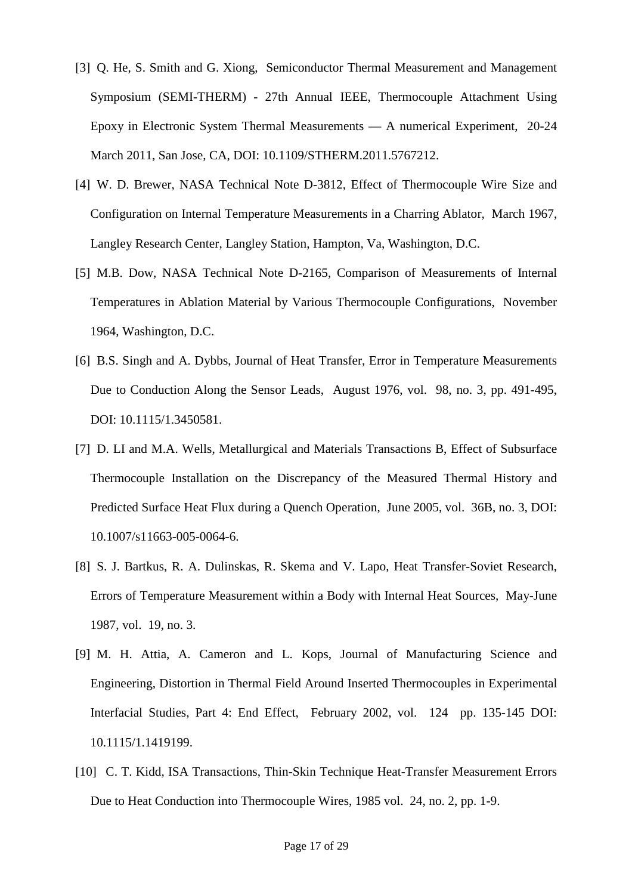- [3] Q. He, S. Smith and G. Xiong, Semiconductor Thermal Measurement and Management Symposium (SEMI-THERM) - 27th Annual IEEE, Thermocouple Attachment Using Epoxy in Electronic System Thermal Measurements — A numerical Experiment, 20-24 March 2011, San Jose, CA, DOI: 10.1109/STHERM.2011.5767212.
- [4] W. D. Brewer, NASA Technical Note D-3812, Effect of Thermocouple Wire Size and Configuration on Internal Temperature Measurements in a Charring Ablator, March 1967, Langley Research Center, Langley Station, Hampton, Va, Washington, D.C.
- [5] M.B. Dow, NASA Technical Note D-2165, Comparison of Measurements of Internal Temperatures in Ablation Material by Various Thermocouple Configurations, November 1964, Washington, D.C.
- [6] B.S. Singh and A. Dybbs, Journal of Heat Transfer, Error in Temperature Measurements Due to Conduction Along the Sensor Leads, August 1976, vol. 98, no. 3, pp. 491-495, DOI: 10.1115/1.3450581.
- [7] D. LI and M.A. Wells, Metallurgical and Materials Transactions B, Effect of Subsurface Thermocouple Installation on the Discrepancy of the Measured Thermal History and Predicted Surface Heat Flux during a Quench Operation, June 2005, vol. 36B, no. 3, DOI: 10.1007/s11663-005-0064-6.
- [8] S. J. Bartkus, R. A. Dulinskas, R. Skema and V. Lapo, Heat Transfer-Soviet Research, Errors of Temperature Measurement within a Body with Internal Heat Sources, May-June 1987, vol. 19, no. 3.
- [9] M. H. Attia, A. Cameron and L. Kops, Journal of Manufacturing Science and Engineering, Distortion in Thermal Field Around Inserted Thermocouples in Experimental Interfacial Studies, Part 4: End Effect, February 2002, vol. 124 pp. 135-145 DOI: 10.1115/1.1419199.
- [10] C. T. Kidd, ISA Transactions, Thin-Skin Technique Heat-Transfer Measurement Errors Due to Heat Conduction into Thermocouple Wires, 1985 vol. 24, no. 2, pp. 1-9.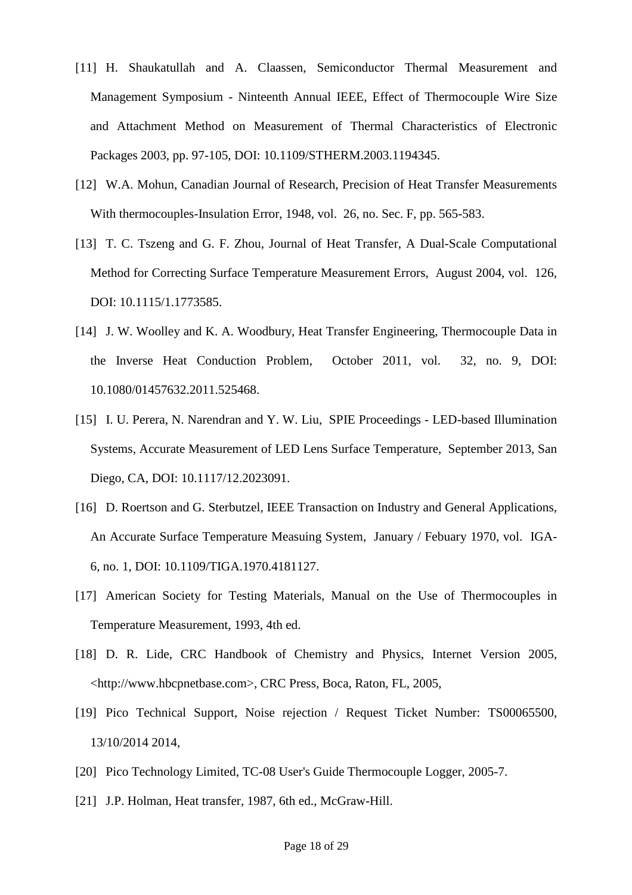- [11] H. Shaukatullah and A. Claassen, Semiconductor Thermal Measurement and Management Symposium - Ninteenth Annual IEEE, Effect of Thermocouple Wire Size and Attachment Method on Measurement of Thermal Characteristics of Electronic Packages 2003, pp. 97-105, DOI: 10.1109/STHERM.2003.1194345.
- [12] W.A. Mohun, Canadian Journal of Research, Precision of Heat Transfer Measurements With thermocouples-Insulation Error, 1948, vol. 26, no. Sec. F, pp. 565-583.
- [13] T. C. Tszeng and G. F. Zhou, Journal of Heat Transfer, A Dual-Scale Computational Method for Correcting Surface Temperature Measurement Errors, August 2004, vol. 126, DOI: 10.1115/1.1773585.
- [14] J. W. Woolley and K. A. Woodbury, Heat Transfer Engineering, Thermocouple Data in the Inverse Heat Conduction Problem, October 2011, vol. 32, no. 9, DOI: 10.1080/01457632.2011.525468.
- [15] I. U. Perera, N. Narendran and Y. W. Liu, SPIE Proceedings LED-based Illumination Systems, Accurate Measurement of LED Lens Surface Temperature, September 2013, San Diego, CA, DOI: 10.1117/12.2023091.
- [16] D. Roertson and G. Sterbutzel, IEEE Transaction on Industry and General Applications, An Accurate Surface Temperature Measuing System, January / Febuary 1970, vol. IGA-6, no. 1, DOI: 10.1109/TIGA.1970.4181127.
- [17] American Society for Testing Materials, Manual on the Use of Thermocouples in Temperature Measurement, 1993, 4th ed.
- [18] D. R. Lide, CRC Handbook of Chemistry and Physics, Internet Version 2005, <http://www.hbcpnetbase.com>, CRC Press, Boca, Raton, FL, 2005,
- [19] Pico Technical Support, Noise rejection / Request Ticket Number: TS00065500, 13/10/2014 2014,
- [20] Pico Technology Limited, TC-08 User's Guide Thermocouple Logger, 2005-7.
- [21] J.P. Holman, Heat transfer, 1987, 6th ed., McGraw-Hill.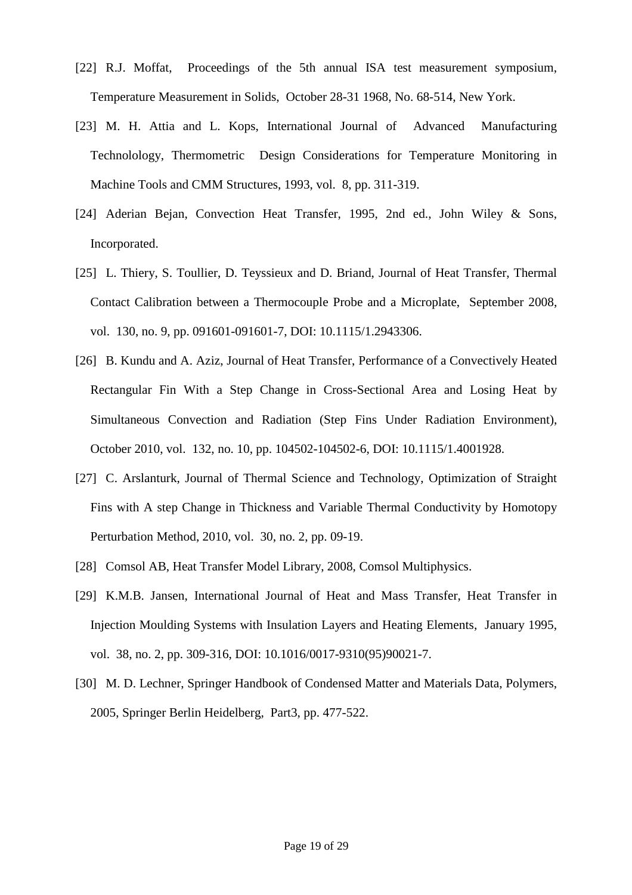- [22] R.J. Moffat, Proceedings of the 5th annual ISA test measurement symposium, Temperature Measurement in Solids, October 28-31 1968, No. 68-514, New York.
- [23] M. H. Attia and L. Kops, International Journal of Advanced Manufacturing Technolology, Thermometric Design Considerations for Temperature Monitoring in Machine Tools and CMM Structures, 1993, vol. 8, pp. 311-319.
- [24] Aderian Bejan, Convection Heat Transfer, 1995, 2nd ed., John Wiley & Sons, Incorporated.
- [25] L. Thiery, S. Toullier, D. Teyssieux and D. Briand, Journal of Heat Transfer, Thermal Contact Calibration between a Thermocouple Probe and a Microplate, September 2008, vol. 130, no. 9, pp. 091601-091601-7, DOI: 10.1115/1.2943306.
- [26] B. Kundu and A. Aziz, Journal of Heat Transfer, Performance of a Convectively Heated Rectangular Fin With a Step Change in Cross-Sectional Area and Losing Heat by Simultaneous Convection and Radiation (Step Fins Under Radiation Environment), October 2010, vol. 132, no. 10, pp. 104502-104502-6, DOI: 10.1115/1.4001928.
- [27] C. Arslanturk, Journal of Thermal Science and Technology, Optimization of Straight Fins with A step Change in Thickness and Variable Thermal Conductivity by Homotopy Perturbation Method, 2010, vol. 30, no. 2, pp. 09-19.
- [28] Comsol AB, Heat Transfer Model Library, 2008, Comsol Multiphysics.
- [29] K.M.B. Jansen, International Journal of Heat and Mass Transfer, Heat Transfer in Injection Moulding Systems with Insulation Layers and Heating Elements, January 1995, vol. 38, no. 2, pp. 309-316, DOI: 10.1016/0017-9310(95)90021-7.
- [30] M. D. Lechner, Springer Handbook of Condensed Matter and Materials Data, Polymers, 2005, Springer Berlin Heidelberg, Part3, pp. 477-522.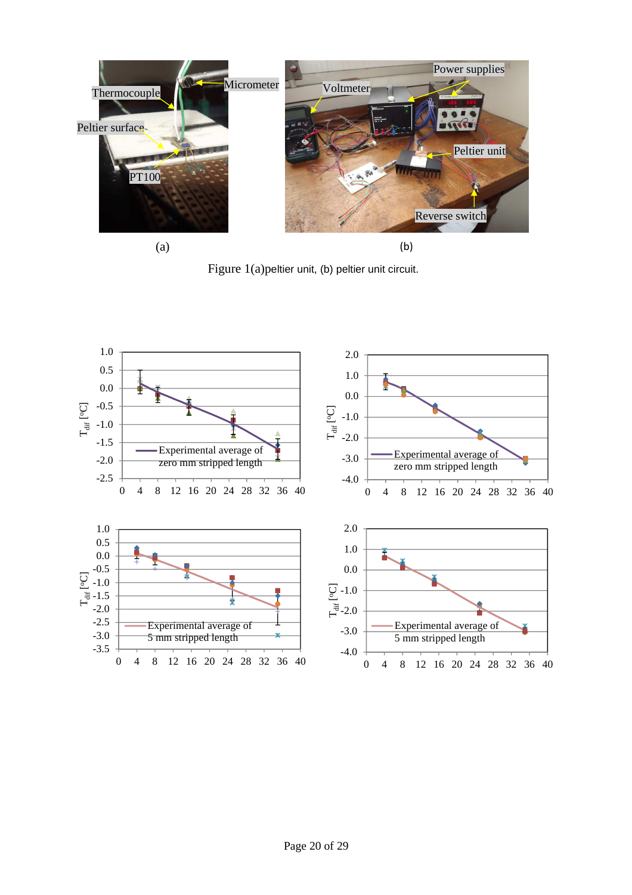

Figure 1(a)peltier unit, (b) peltier unit circuit.

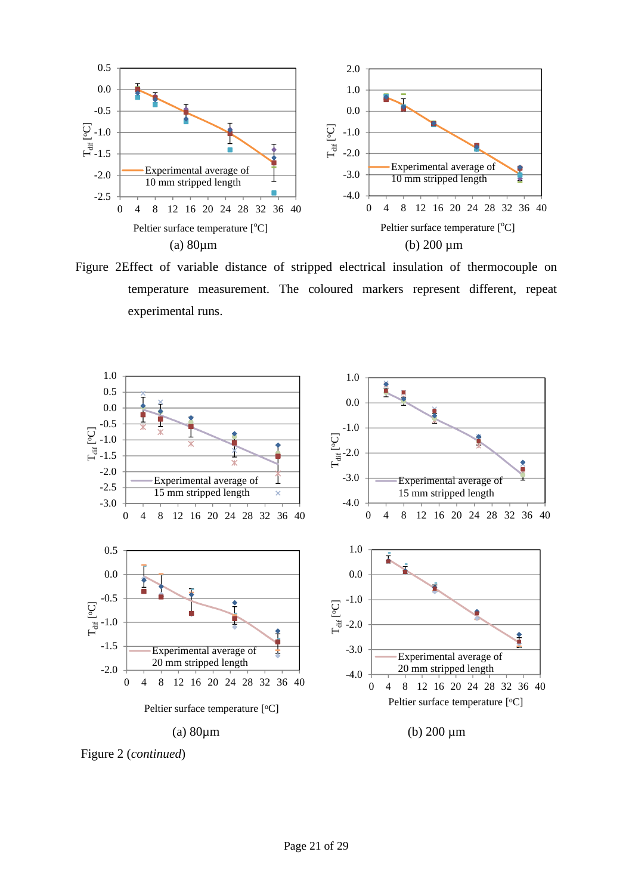

Figure 2Effect of variable distance of stripped electrical insulation of thermocouple on temperature measurement. The coloured markers represent different, repeat experimental runs.

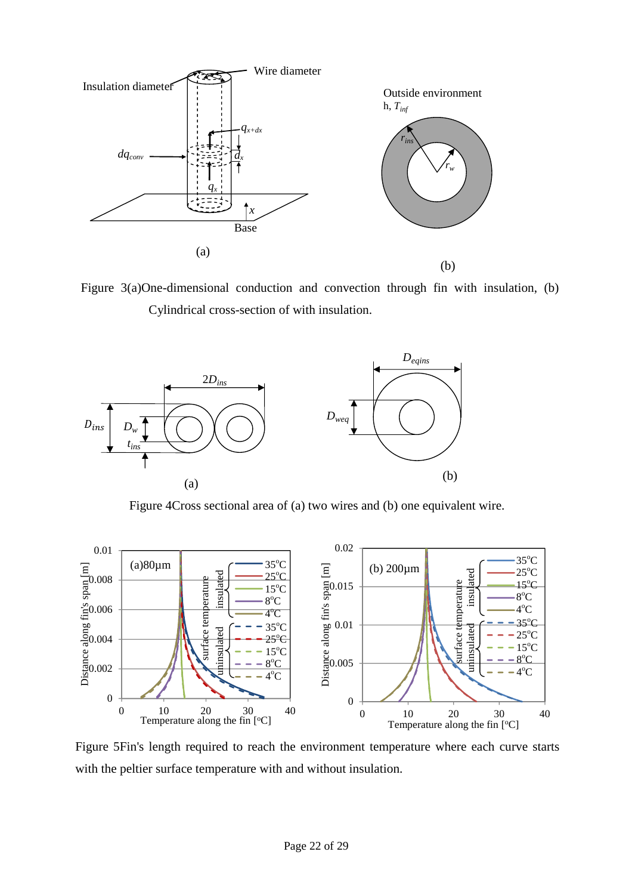![](_page_22_Figure_0.jpeg)

Figure 3(a)One-dimensional conduction and convection through fin with insulation, (b) Cylindrical cross-section of with insulation.

![](_page_22_Figure_2.jpeg)

Figure 4Cross sectional area of (a) two wires and (b) one equivalent wire.

![](_page_22_Figure_4.jpeg)

Figure 5Fin's length required to reach the environment temperature where each curve starts with the peltier surface temperature with and without insulation.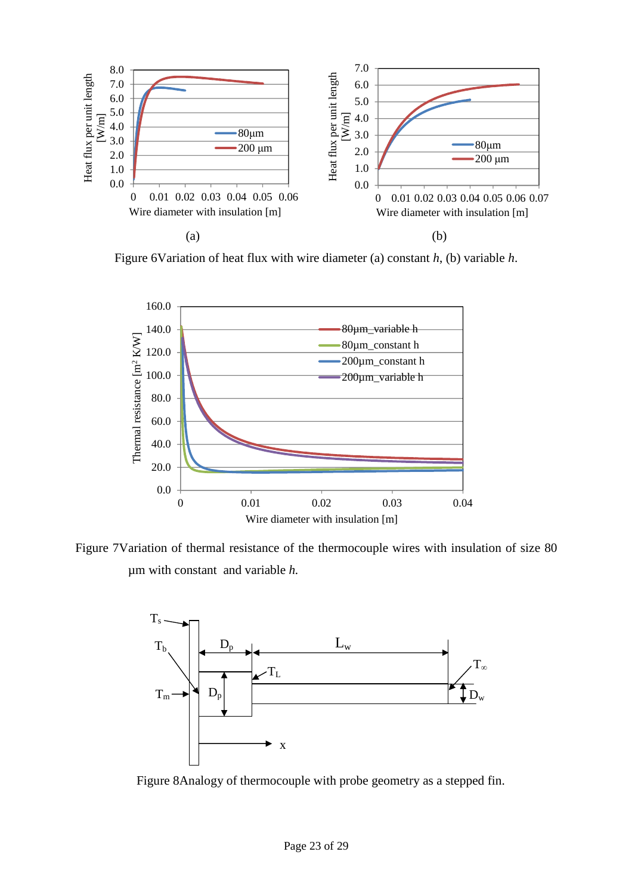![](_page_23_Figure_0.jpeg)

Figure 6Variation of heat flux with wire diameter (a) constant *h*, (b) variable *h*.

![](_page_23_Figure_2.jpeg)

Figure 7Variation of thermal resistance of the thermocouple wires with insulation of size 80 µm with constant and variable *h.*

![](_page_23_Figure_4.jpeg)

Figure 8Analogy of thermocouple with probe geometry as a stepped fin.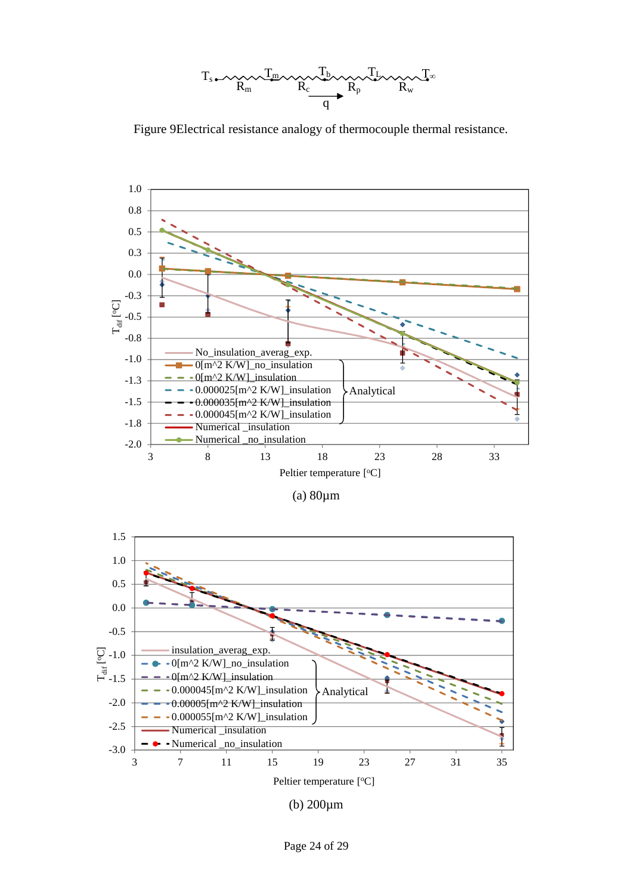![](_page_24_Figure_0.jpeg)

Figure 9Electrical resistance analogy of thermocouple thermal resistance.

![](_page_24_Figure_2.jpeg)

| (a) $80 \mu m$ |  |
|----------------|--|
|                |  |

![](_page_24_Figure_4.jpeg)

(b) 200µm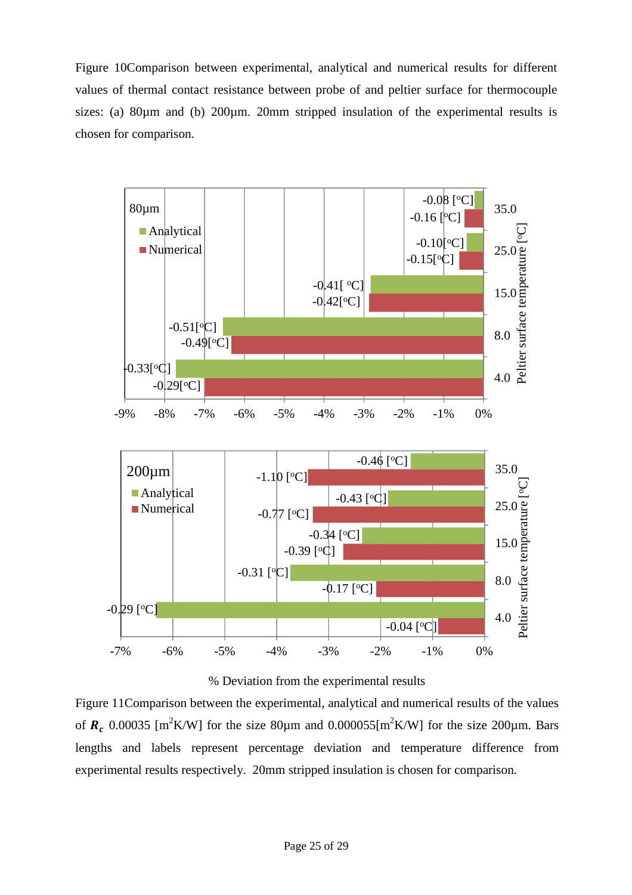Figure 10Comparison between experimental, analytical and numerical results for different values of thermal contact resistance between probe of and peltier surface for thermocouple sizes: (a)  $80\mu$ m and (b)  $200\mu$ m.  $20\mu$ m stripped insulation of the experimental results is chosen for comparison.

![](_page_25_Figure_1.jpeg)

% Deviation from the experimental results

Figure 11Comparison between the experimental, analytical and numerical results of the values of  $R_c$  0.00035 [m<sup>2</sup>K/W] for the size 80 $\mu$ m and 0.000055[m<sup>2</sup>K/W] for the size 200 $\mu$ m. Bars lengths and labels represent percentage deviation and temperature difference from experimental results respectively. 20mm stripped insulation is chosen for comparison.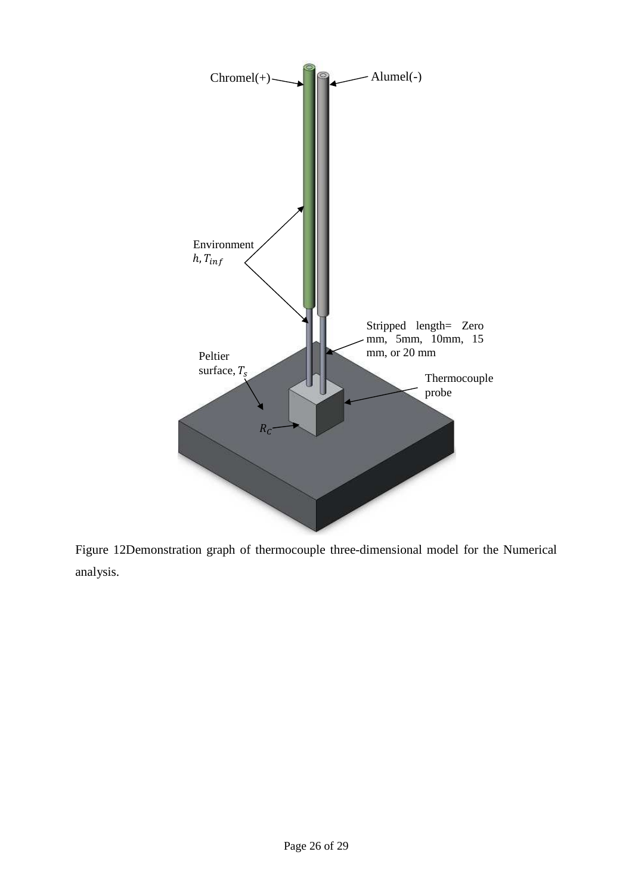![](_page_26_Figure_0.jpeg)

Figure 12Demonstration graph of thermocouple three-dimensional model for the Numerical analysis.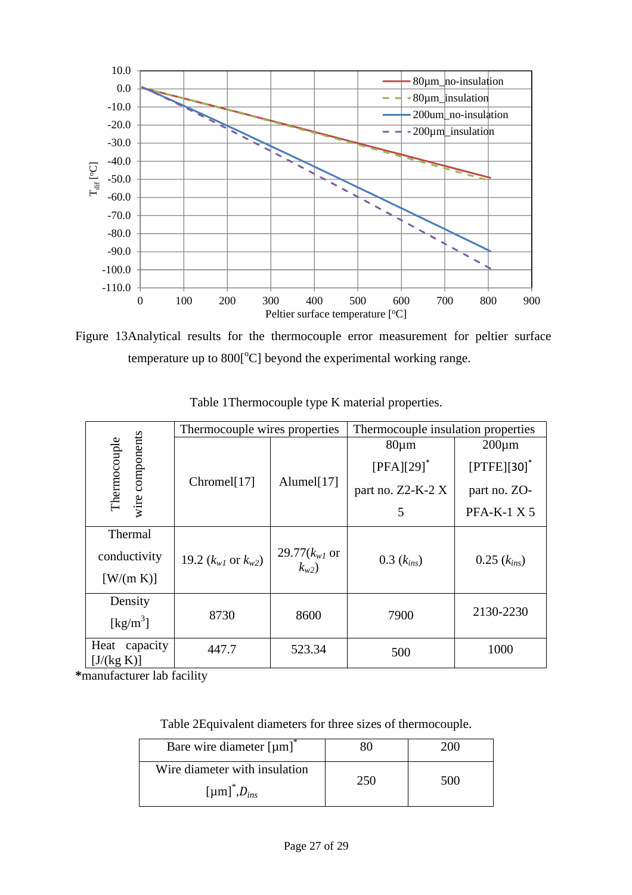![](_page_27_Figure_0.jpeg)

Figure 13Analytical results for the thermocouple error measurement for peltier surface temperature up to  $800[^{\circ}C]$  beyond the experimental working range.

|                                | Thermocouple wires properties  |                                | Thermocouple insulation properties |                           |
|--------------------------------|--------------------------------|--------------------------------|------------------------------------|---------------------------|
|                                |                                |                                | $80 \mu m$                         | $200 \mu m$               |
| Thermocouple                   | wire components<br>Chromel[17] | Alumel[17]                     | $[PFA][29]$ <sup>*</sup>           | $[PTFE][30]$ <sup>*</sup> |
|                                |                                |                                | part no. Z2-K-2 X                  | part no. ZO-              |
|                                |                                |                                | 5                                  | <b>PFA-K-1 X 5</b>        |
| Thermal                        |                                |                                |                                    |                           |
| conductivity                   | 19.2 $(k_{w1}$ or $k_{w2})$    | 29.77( $k_{w1}$ or<br>$k_{w2}$ | $0.3(k_{ins})$                     | $0.25(k_{ins})$           |
| [W/(m K)]                      |                                |                                |                                    |                           |
| Density                        |                                |                                |                                    | 2130-2230                 |
| $\left[\text{kg/m}^3\right]$   | 8730                           | 8600                           | 7900                               |                           |
| Heat<br>capacity<br>[J/(kg K)] | 447.7                          | 523.34                         | 500                                | 1000                      |

Table 1Thermocouple type K material properties.

**\***manufacturer lab facility

Table 2Equivalent diameters for three sizes of thermocouple.

| Bare wire diameter $[µm]$ <sup><math>\degree</math></sup>      |     | 200 L |
|----------------------------------------------------------------|-----|-------|
| Wire diameter with insulation<br>[µm] <sup>*</sup> , $D_{ins}$ | 250 | 500   |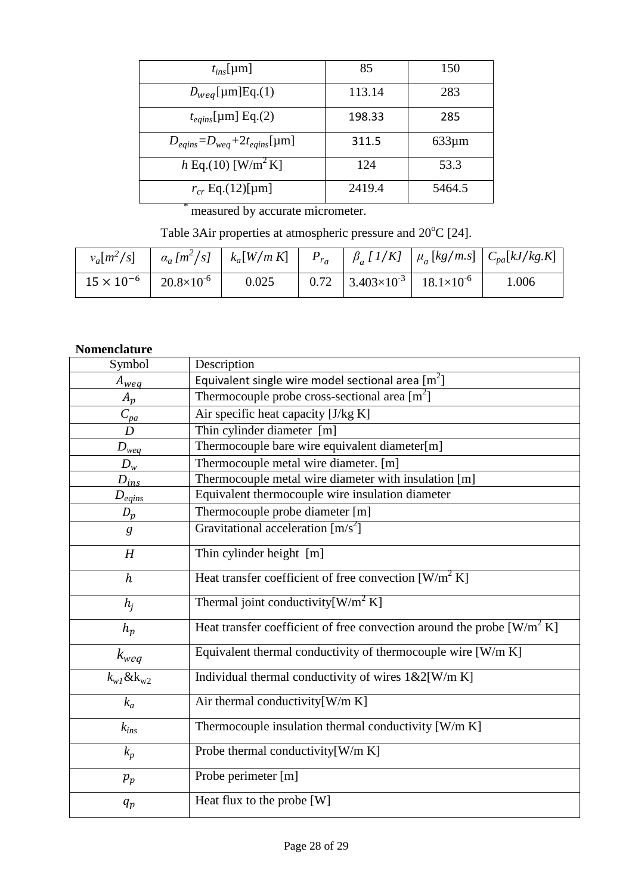| $t_{ins}$ [µm]                          | 85     | 150         |
|-----------------------------------------|--------|-------------|
| $D_{weg}$ [µm]Eq.(1)                    | 113.14 | 283         |
| $t_{eqins}$ [µm] Eq.(2)                 | 198.33 | 285         |
| $D_{eqins} = D_{weg} + 2t_{eqins}$ [µm] | 311.5  | $633 \mu m$ |
| $h \to (10)$ [W/m <sup>2</sup> K]       | 124    | 53.3        |
| $r_{cr}$ Eq.(12)[µm]                    | 2419.4 | 5464.5      |
|                                         |        |             |

measured by accurate micrometer.

Table 3Air properties at atmospheric pressure and  $20^{\circ}$ C [24].

|                                           |       |                                                         | $v_a[m^2/s]$ $\left  \alpha_a[m^2/s] \right  k_a[W/mK]$ $P_{r_a}$ $\left  \beta_a [1/K] \right  \mu_a [kg/m.s]$ $C_{pa}[kJ/kg.K]$ |
|-------------------------------------------|-------|---------------------------------------------------------|-----------------------------------------------------------------------------------------------------------------------------------|
| $15 \times 10^{-6}$ 20.8×10 <sup>-6</sup> | 0.025 | $0.72$   $3.403 \times 10^{-3}$   $18.1 \times 10^{-6}$ | 1.006                                                                                                                             |

# **Nomenclature**

| Symbol              | Description                                                               |
|---------------------|---------------------------------------------------------------------------|
| $A_{weq}$           | Equivalent single wire model sectional area $[m^2]$                       |
| $A_p$               | Thermocouple probe cross-sectional area $\lceil m^2 \rceil$               |
| $C_{pa}$            | Air specific heat capacity [J/kg K]                                       |
| D                   | Thin cylinder diameter [m]                                                |
| $D_{weq}$           | Thermocouple bare wire equivalent diameter[m]                             |
| $D_w$               | Thermocouple metal wire diameter. [m]                                     |
| $D_{ins}$           | Thermocouple metal wire diameter with insulation [m]                      |
| $D_{eqins}$         | Equivalent thermocouple wire insulation diameter                          |
| $D_p$               | Thermocouple probe diameter [m]                                           |
| g                   | Gravitational acceleration $[m/s^2]$                                      |
| H                   | Thin cylinder height [m]                                                  |
| $\boldsymbol{h}$    | Heat transfer coefficient of free convection $[W/m^2 K]$                  |
| $h_i$               | Thermal joint conductivity $[W/m^2 K]$                                    |
| $h_p$               | Heat transfer coefficient of free convection around the probe $[W/m^2 K]$ |
| $k_{weq}$           | Equivalent thermal conductivity of thermocouple wire [W/m K]              |
| $k_{w1}$ & $k_{w2}$ | Individual thermal conductivity of wires $1\&2[W/m K]$                    |
| $k_a$               | Air thermal conductivity[W/m K]                                           |
| $k_{ins}$           | Thermocouple insulation thermal conductivity [W/m K]                      |
| $k_p$               | Probe thermal conductivity[W/m K]                                         |
| $p_p$               | Probe perimeter [m]                                                       |
| $q_p$               | Heat flux to the probe [W]                                                |